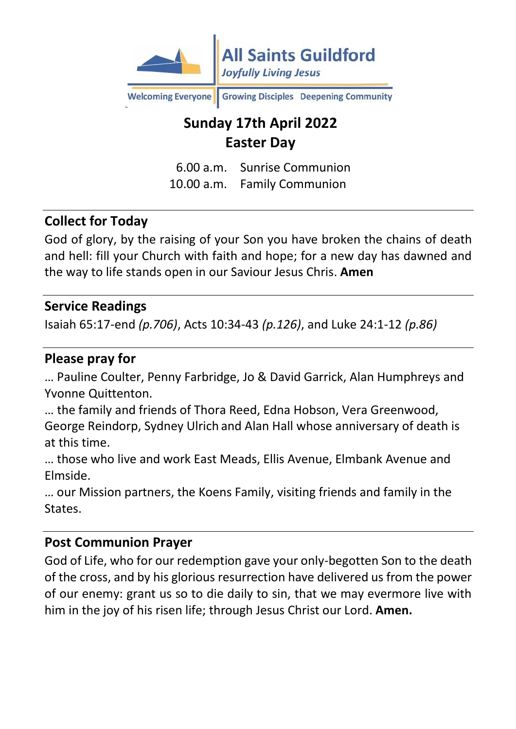

**Welcoming Everyone** Growing Disciples Deepening Community

# **Sunday 17th April 2022 Easter Day**

6.00 a.m. Sunrise Communion 10.00 a.m. Family Communion

### **Collect for Today**

God of glory, by the raising of your Son you have broken the chains of death and hell: fill your Church with faith and hope; for a new day has dawned and the way to life stands open in our Saviour Jesus Chris. **Amen**

#### **Service Readings**

Isaiah 65:17-end *(p.706)*, Acts 10:34-43 *(p.126)*, and Luke 24:1-12 *(p.86)*

#### **Please pray for**

… Pauline Coulter, Penny Farbridge, Jo & David Garrick, Alan Humphreys and Yvonne Quittenton.

… the family and friends of Thora Reed, Edna Hobson, Vera Greenwood, George Reindorp, Sydney Ulrich and Alan Hall whose anniversary of death is at this time.

… those who live and work East Meads, Ellis Avenue, Elmbank Avenue and Elmside.

… our Mission partners, the Koens Family, visiting friends and family in the States.

#### **Post Communion Prayer**

God of Life, who for our redemption gave your only-begotten Son to the death of the cross, and by his glorious resurrection have delivered us from the power of our enemy: grant us so to die daily to sin, that we may evermore live with him in the joy of his risen life; through Jesus Christ our Lord. **Amen.**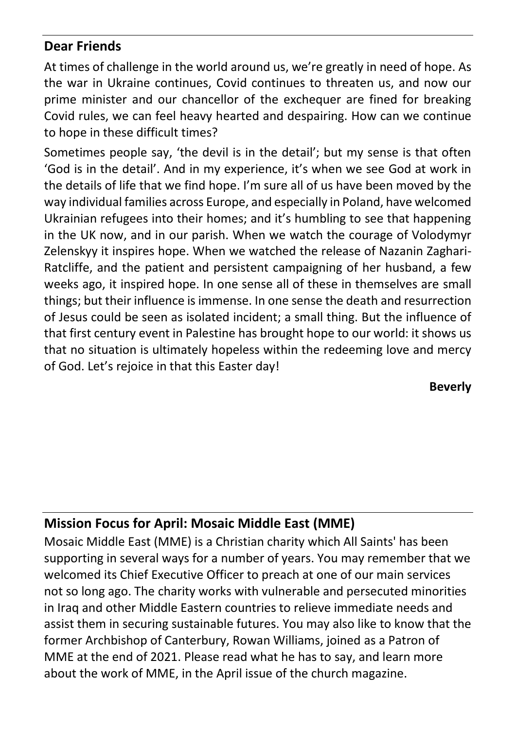### **Dear Friends**

At times of challenge in the world around us, we're greatly in need of hope. As the war in Ukraine continues, Covid continues to threaten us, and now our prime minister and our chancellor of the exchequer are fined for breaking Covid rules, we can feel heavy hearted and despairing. How can we continue to hope in these difficult times?

Sometimes people say, 'the devil is in the detail'; but my sense is that often 'God is in the detail'. And in my experience, it's when we see God at work in the details of life that we find hope. I'm sure all of us have been moved by the way individual families across Europe, and especially in Poland, have welcomed Ukrainian refugees into their homes; and it's humbling to see that happening in the UK now, and in our parish. When we watch the courage of Volodymyr Zelenskyy it inspires hope. When we watched the release of Nazanin Zaghari-Ratcliffe, and the patient and persistent campaigning of her husband, a few weeks ago, it inspired hope. In one sense all of these in themselves are small things; but their influence is immense. In one sense the death and resurrection of Jesus could be seen as isolated incident; a small thing. But the influence of that first century event in Palestine has brought hope to our world: it shows us that no situation is ultimately hopeless within the redeeming love and mercy of God. Let's rejoice in that this Easter day!

**Beverly**

## **Mission Focus for April: Mosaic Middle East (MME)**

Mosaic Middle East (MME) is a Christian charity which All Saints' has been supporting in several ways for a number of years. You may remember that we welcomed its Chief Executive Officer to preach at one of our main services not so long ago. The charity works with vulnerable and persecuted minorities in Iraq and other Middle Eastern countries to relieve immediate needs and assist them in securing sustainable futures. You may also like to know that the former Archbishop of Canterbury, Rowan Williams, joined as a Patron of MME at the end of 2021. Please read what he has to say, and learn more about the work of MME, in the April issue of the church magazine.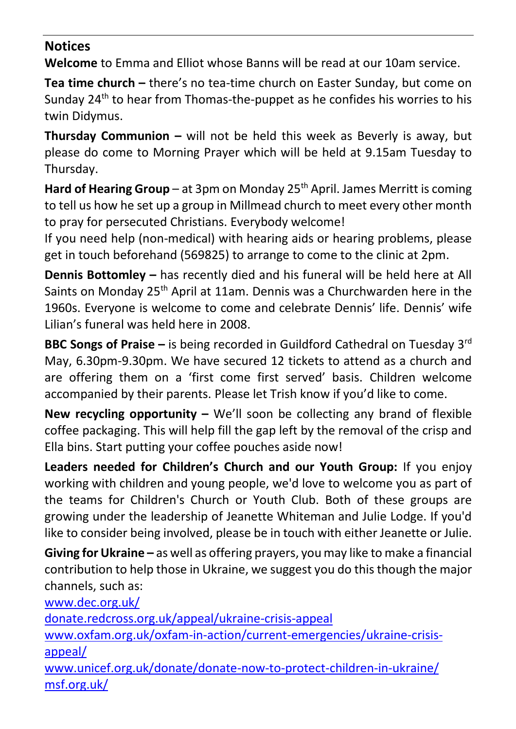### **Notices**

**Welcome** to Emma and Elliot whose Banns will be read at our 10am service.

**Tea time church –** there's no tea-time church on Easter Sunday, but come on Sunday 24<sup>th</sup> to hear from Thomas-the-puppet as he confides his worries to his twin Didymus.

**Thursday Communion –** will not be held this week as Beverly is away, but please do come to Morning Prayer which will be held at 9.15am Tuesday to Thursday.

Hard of Hearing Group – at 3pm on Monday 25<sup>th</sup> April. James Merritt is coming to tell us how he set up a group in Millmead church to meet every other month to pray for persecuted Christians. Everybody welcome!

If you need help (non-medical) with hearing aids or hearing problems, please get in touch beforehand (569825) to arrange to come to the clinic at 2pm.

**Dennis Bottomley –** has recently died and his funeral will be held here at All Saints on Monday 25<sup>th</sup> April at 11am. Dennis was a Churchwarden here in the 1960s. Everyone is welcome to come and celebrate Dennis' life. Dennis' wife Lilian's funeral was held here in 2008.

**BBC Songs of Praise –** is being recorded in Guildford Cathedral on Tuesday 3<sup>rd</sup> May, 6.30pm-9.30pm. We have secured 12 tickets to attend as a church and are offering them on a 'first come first served' basis. Children welcome accompanied by their parents. Please let Trish know if you'd like to come.

**New recycling opportunity –** We'll soon be collecting any brand of flexible coffee packaging. This will help fill the gap left by the removal of the crisp and Ella bins. Start putting your coffee pouches aside now!

**Leaders needed for Children's Church and our Youth Group:** If you enjoy working with children and young people, we'd love to welcome you as part of the teams for Children's Church or Youth Club. Both of these groups are growing under the leadership of Jeanette Whiteman and Julie Lodge. If you'd like to consider being involved, please be in touch with either Jeanette or Julie.

**Giving for Ukraine –** as well as offering prayers, you may like to make a financial contribution to help those in Ukraine, we suggest you do this though the major channels, such as:

[www.dec.org.uk/](http://www.dec.org.uk/) [donate.redcross.org.uk/appeal/ukraine-crisis-appeal](https://donate.redcross.org.uk/appeal/ukraine-crisis-appeal) [www.oxfam.org.uk/oxfam-in-action/current-emergencies/ukraine-crisis](http://www.oxfam.org.uk/oxfam-in-action/current-emergencies/ukraine-crisis-appeal/)[appeal/](http://www.oxfam.org.uk/oxfam-in-action/current-emergencies/ukraine-crisis-appeal/) [www.unicef.org.uk/donate/donate-now-to-protect-children-in-ukraine/](http://www.unicef.org.uk/donate/donate-now-to-protect-children-in-ukraine/) [msf.org.uk/](https://msf.org.uk/)